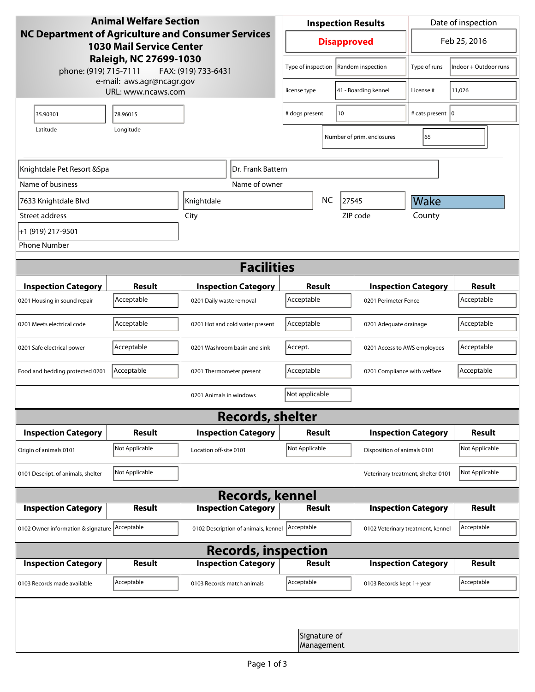| <b>Animal Welfare Section</b><br><b>NC Department of Agriculture and Consumer Services</b><br><b>1030 Mail Service Center</b><br>Raleigh, NC 27699-1030<br>phone: (919) 715-7111<br>FAX: (919) 733-6431 |                |                                     | <b>Inspection Results</b> |                            |                                    | Date of inspection           |                       |  |  |
|---------------------------------------------------------------------------------------------------------------------------------------------------------------------------------------------------------|----------------|-------------------------------------|---------------------------|----------------------------|------------------------------------|------------------------------|-----------------------|--|--|
|                                                                                                                                                                                                         |                |                                     | <b>Disapproved</b>        |                            |                                    | Feb 25, 2016                 |                       |  |  |
|                                                                                                                                                                                                         |                |                                     | Type of inspection        |                            | Random inspection                  | Type of runs                 | Indoor + Outdoor runs |  |  |
| e-mail: aws.agr@ncagr.gov<br>URL: www.ncaws.com                                                                                                                                                         |                |                                     | license type              |                            | 41 - Boarding kennel               | License #                    | 11,026                |  |  |
| 35.90301                                                                                                                                                                                                | 78.96015       |                                     | 10<br># dogs present      |                            | # cats present   0                 |                              |                       |  |  |
| Latitude                                                                                                                                                                                                | Longitude      |                                     |                           |                            | Number of prim. enclosures         | 65                           |                       |  |  |
| Knightdale Pet Resort & Spa<br>Dr. Frank Battern                                                                                                                                                        |                |                                     |                           |                            |                                    |                              |                       |  |  |
| Name of business                                                                                                                                                                                        |                | Name of owner                       |                           |                            |                                    |                              |                       |  |  |
| 7633 Knightdale Blvd                                                                                                                                                                                    |                | Knightdale                          | <b>NC</b><br>27545        |                            |                                    | Wake                         |                       |  |  |
| Street address                                                                                                                                                                                          |                | City                                |                           |                            | ZIP code                           | County                       |                       |  |  |
| +1 (919) 217-9501                                                                                                                                                                                       |                |                                     |                           |                            |                                    |                              |                       |  |  |
| <b>Phone Number</b>                                                                                                                                                                                     |                |                                     |                           |                            |                                    |                              |                       |  |  |
| <b>Facilities</b>                                                                                                                                                                                       |                |                                     |                           |                            |                                    |                              |                       |  |  |
| <b>Inspection Category</b>                                                                                                                                                                              | <b>Result</b>  | <b>Inspection Category</b>          |                           | Result                     |                                    | <b>Inspection Category</b>   | <b>Result</b>         |  |  |
| 0201 Housing in sound repair                                                                                                                                                                            | Acceptable     | 0201 Daily waste removal            | Acceptable                | 0201 Perimeter Fence       |                                    |                              | Acceptable            |  |  |
| 0201 Meets electrical code                                                                                                                                                                              | Acceptable     | 0201 Hot and cold water present     | Acceptable                |                            |                                    | 0201 Adequate drainage       |                       |  |  |
| 0201 Safe electrical power                                                                                                                                                                              | Acceptable     | 0201 Washroom basin and sink        | Accept.                   |                            |                                    | 0201 Access to AWS employees |                       |  |  |
| Food and bedding protected 0201                                                                                                                                                                         | Acceptable     | 0201 Thermometer present            | Acceptable                |                            | 0201 Compliance with welfare       |                              | Acceptable            |  |  |
|                                                                                                                                                                                                         |                | 0201 Animals in windows             | Not applicable            |                            |                                    |                              |                       |  |  |
| <b>Records, shelter</b>                                                                                                                                                                                 |                |                                     |                           |                            |                                    |                              |                       |  |  |
| <b>Inspection Category</b>                                                                                                                                                                              | Result         | <b>Inspection Category</b>          | <b>Result</b>             |                            |                                    | <b>Inspection Category</b>   | <b>Result</b>         |  |  |
| Origin of animals 0101                                                                                                                                                                                  | Not Applicable | Location off-site 0101              | Not Applicable            |                            |                                    | Disposition of animals 0101  |                       |  |  |
| 0101 Descript. of animals, shelter                                                                                                                                                                      | Not Applicable |                                     |                           |                            | Veterinary treatment, shelter 0101 |                              | Not Applicable        |  |  |
| <b>Records, kennel</b>                                                                                                                                                                                  |                |                                     |                           |                            |                                    |                              |                       |  |  |
| <b>Inspection Category</b>                                                                                                                                                                              | <b>Result</b>  | <b>Inspection Category</b>          |                           | <b>Result</b>              |                                    | <b>Inspection Category</b>   | <b>Result</b>         |  |  |
| 0102 Owner information & signature Acceptable                                                                                                                                                           |                | 0102 Description of animals, kennel | Acceptable                |                            | 0102 Veterinary treatment, kennel  |                              | Acceptable            |  |  |
| <b>Records, inspection</b>                                                                                                                                                                              |                |                                     |                           |                            |                                    |                              |                       |  |  |
| <b>Inspection Category</b>                                                                                                                                                                              | <b>Result</b>  | <b>Inspection Category</b>          |                           | Result                     |                                    | <b>Inspection Category</b>   | <b>Result</b>         |  |  |
| 0103 Records made available                                                                                                                                                                             | Acceptable     | 0103 Records match animals          | Acceptable                |                            | 0103 Records kept 1+ year          |                              | Acceptable            |  |  |
|                                                                                                                                                                                                         |                |                                     |                           |                            |                                    |                              |                       |  |  |
|                                                                                                                                                                                                         |                |                                     |                           | Signature of<br>Management |                                    |                              |                       |  |  |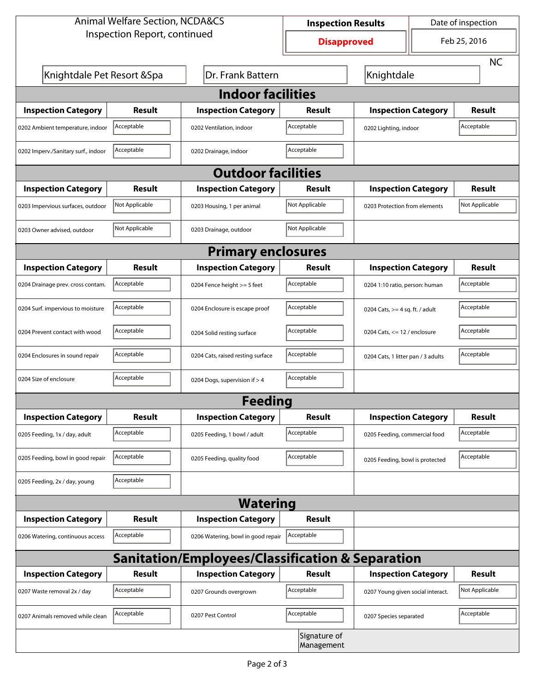| <b>Animal Welfare Section, NCDA&amp;CS</b>                  |                |                                    | <b>Inspection Results</b>  |                                     | Date of inspection |                |  |  |  |
|-------------------------------------------------------------|----------------|------------------------------------|----------------------------|-------------------------------------|--------------------|----------------|--|--|--|
| Inspection Report, continued                                |                |                                    | <b>Disapproved</b>         |                                     | Feb 25, 2016       |                |  |  |  |
|                                                             |                |                                    |                            |                                     |                    | <b>NC</b>      |  |  |  |
| Knightdale Pet Resort & Spa                                 |                | Dr. Frank Battern                  | Knightdale                 |                                     |                    |                |  |  |  |
| <b>Indoor facilities</b>                                    |                |                                    |                            |                                     |                    |                |  |  |  |
| <b>Inspection Category</b>                                  | Result         | <b>Inspection Category</b>         | Result                     | <b>Inspection Category</b>          |                    | <b>Result</b>  |  |  |  |
| 0202 Ambient temperature, indoor                            | Acceptable     | 0202 Ventilation, indoor           | Acceptable                 | Acceptable<br>0202 Lighting, indoor |                    |                |  |  |  |
| 0202 Imperv./Sanitary surf., indoor                         | Acceptable     | 0202 Drainage, indoor              | Acceptable                 |                                     |                    |                |  |  |  |
| <b>Outdoor facilities</b>                                   |                |                                    |                            |                                     |                    |                |  |  |  |
| <b>Inspection Category</b>                                  | <b>Result</b>  | <b>Inspection Category</b>         | Result                     | <b>Inspection Category</b>          |                    | <b>Result</b>  |  |  |  |
| 0203 Impervious surfaces, outdoor                           | Not Applicable | 0203 Housing, 1 per animal         | Not Applicable             | 0203 Protection from elements       |                    | Not Applicable |  |  |  |
| 0203 Owner advised, outdoor                                 | Not Applicable | 0203 Drainage, outdoor             | Not Applicable             |                                     |                    |                |  |  |  |
| <b>Primary enclosures</b>                                   |                |                                    |                            |                                     |                    |                |  |  |  |
| <b>Inspection Category</b>                                  | Result         | <b>Inspection Category</b>         | Result                     | <b>Inspection Category</b>          |                    | <b>Result</b>  |  |  |  |
| 0204 Drainage prev. cross contam.                           | Acceptable     | 0204 Fence height >= 5 feet        | Acceptable                 | 0204 1:10 ratio, person: human      |                    | Acceptable     |  |  |  |
| 0204 Surf. impervious to moisture                           | Acceptable     | 0204 Enclosure is escape proof     | Acceptable                 | 0204 Cats, $>=$ 4 sq. ft. / adult   |                    | Acceptable     |  |  |  |
| 0204 Prevent contact with wood                              | Acceptable     | 0204 Solid resting surface         | Acceptable                 | 0204 Cats, $<= 12$ / enclosure      |                    | Acceptable     |  |  |  |
| 0204 Enclosures in sound repair                             | Acceptable     | 0204 Cats, raised resting surface  | Acceptable                 | 0204 Cats, 1 litter pan / 3 adults  |                    | Acceptable     |  |  |  |
| 0204 Size of enclosure                                      | Acceptable     | 0204 Dogs, supervision if > 4      | Acceptable                 |                                     |                    |                |  |  |  |
| Feeding                                                     |                |                                    |                            |                                     |                    |                |  |  |  |
| <b>Inspection Category</b>                                  | <b>Result</b>  | <b>Inspection Category</b>         | <b>Result</b>              | <b>Inspection Category</b>          |                    | <b>Result</b>  |  |  |  |
| 0205 Feeding, 1x / day, adult                               | Acceptable     | 0205 Feeding, 1 bowl / adult       | Acceptable                 | 0205 Feeding, commercial food       |                    | Acceptable     |  |  |  |
| 0205 Feeding, bowl in good repair                           | Acceptable     | 0205 Feeding, quality food         | Acceptable                 | 0205 Feeding, bowl is protected     |                    | Acceptable     |  |  |  |
| 0205 Feeding, 2x / day, young                               | Acceptable     |                                    |                            |                                     |                    |                |  |  |  |
| <b>Watering</b>                                             |                |                                    |                            |                                     |                    |                |  |  |  |
| <b>Inspection Category</b>                                  | <b>Result</b>  | <b>Inspection Category</b>         | <b>Result</b>              |                                     |                    |                |  |  |  |
| 0206 Watering, continuous access                            | Acceptable     | 0206 Watering, bowl in good repair | Acceptable                 |                                     |                    |                |  |  |  |
| <b>Sanitation/Employees/Classification &amp; Separation</b> |                |                                    |                            |                                     |                    |                |  |  |  |
| <b>Inspection Category</b>                                  | <b>Result</b>  | <b>Inspection Category</b>         | <b>Result</b>              | <b>Inspection Category</b>          |                    | <b>Result</b>  |  |  |  |
| 0207 Waste removal 2x / day                                 | Acceptable     | 0207 Grounds overgrown             | Acceptable                 | 0207 Young given social interact.   |                    | Not Applicable |  |  |  |
| 0207 Animals removed while clean                            | Acceptable     | 0207 Pest Control                  | Acceptable                 | 0207 Species separated              |                    | Acceptable     |  |  |  |
|                                                             |                |                                    | Signature of<br>Management |                                     |                    |                |  |  |  |